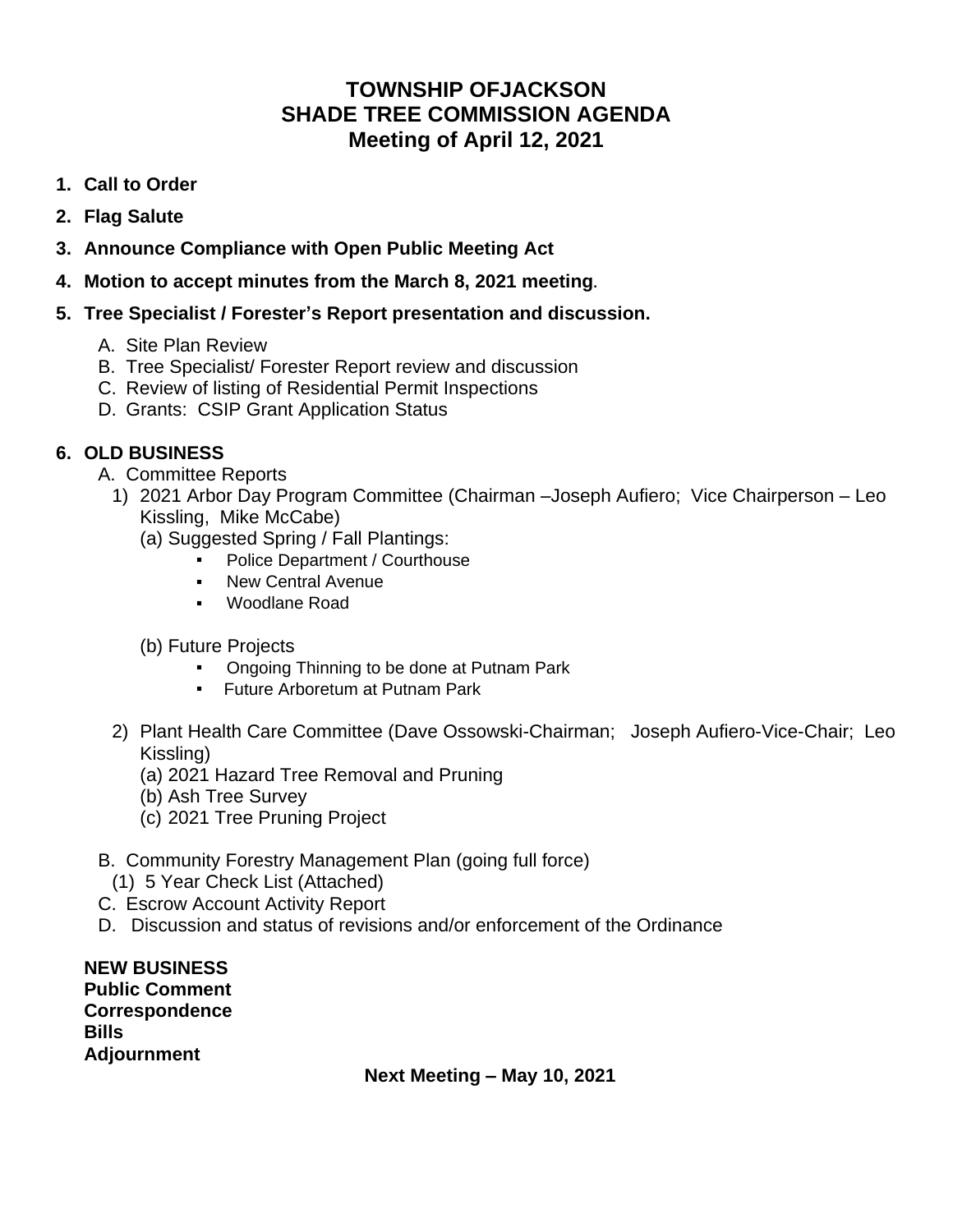## **TOWNSHIP OFJACKSON SHADE TREE COMMISSION AGENDA Meeting of April 12, 2021**

- **1. Call to Order**
- **2. Flag Salute**
- **3. Announce Compliance with Open Public Meeting Act**
- **4. Motion to accept minutes from the March 8, 2021 meeting.**
- **5. Tree Specialist / Forester's Report presentation and discussion.**
	- A. Site Plan Review
	- B. Tree Specialist/ Forester Report review and discussion
	- C. Review of listing of Residential Permit Inspections
	- D. Grants: CSIP Grant Application Status

## **6. OLD BUSINESS**

- A. Committee Reports
	- 1) 2021 Arbor Day Program Committee (Chairman –Joseph Aufiero; Vice Chairperson Leo Kissling, Mike McCabe)
		- (a) Suggested Spring / Fall Plantings:
			- Police Department / Courthouse
			- New Central Avenue
			- Woodlane Road
		- (b) Future Projects
			- **Ongoing Thinning to be done at Putnam Park**
			- Future Arboretum at Putnam Park
	- 2) Plant Health Care Committee (Dave Ossowski-Chairman; Joseph Aufiero-Vice-Chair; Leo Kissling)
		- (a) 2021 Hazard Tree Removal and Pruning
		- (b) Ash Tree Survey
		- (c) 2021 Tree Pruning Project
- B. Community Forestry Management Plan (going full force)
	- (1) 5 Year Check List (Attached)
- C. Escrow Account Activity Report
- D. Discussion and status of revisions and/or enforcement of the Ordinance

**NEW BUSINESS Public Comment Correspondence Bills Adjournment**

**Next Meeting – May 10, 2021**